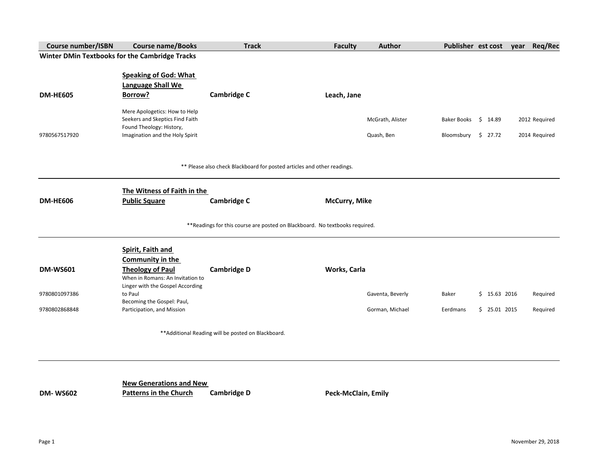| <b>Course number/ISBN</b> | <b>Course name/Books</b>                       | <b>Track</b>                                                                 | <b>Faculty</b>             | <b>Author</b>    | Publisher est cost             |               | Req/Rec<br>year |
|---------------------------|------------------------------------------------|------------------------------------------------------------------------------|----------------------------|------------------|--------------------------------|---------------|-----------------|
|                           | Winter DMin Textbooks for the Cambridge Tracks |                                                                              |                            |                  |                                |               |                 |
|                           |                                                |                                                                              |                            |                  |                                |               |                 |
|                           | <b>Speaking of God: What</b>                   |                                                                              |                            |                  |                                |               |                 |
|                           | <b>Language Shall We</b>                       |                                                                              |                            |                  |                                |               |                 |
| <b>DM-HE605</b>           | Borrow?                                        | <b>Cambridge C</b>                                                           | Leach, Jane                |                  |                                |               |                 |
|                           | Mere Apologetics: How to Help                  |                                                                              |                            |                  |                                |               |                 |
|                           | Seekers and Skeptics Find Faith                |                                                                              |                            | McGrath, Alister | Baker Books \$ 14.89           |               | 2012 Required   |
|                           | Found Theology: History,                       |                                                                              |                            |                  |                                |               |                 |
| 9780567517920             | Imagination and the Holy Spirit                |                                                                              |                            | Quash, Ben       | Bloomsbury $\frac{1}{2}$ 27.72 |               | 2014 Required   |
|                           |                                                |                                                                              |                            |                  |                                |               |                 |
|                           |                                                | ** Please also check Blackboard for posted articles and other readings.      |                            |                  |                                |               |                 |
|                           | The Witness of Faith in the                    |                                                                              |                            |                  |                                |               |                 |
| <b>DM-HE606</b>           | <b>Public Square</b>                           | <b>Cambridge C</b>                                                           | McCurry, Mike              |                  |                                |               |                 |
|                           |                                                |                                                                              |                            |                  |                                |               |                 |
|                           |                                                | ** Readings for this course are posted on Blackboard. No textbooks required. |                            |                  |                                |               |                 |
|                           | Spirit, Faith and                              |                                                                              |                            |                  |                                |               |                 |
|                           | <b>Community in the</b>                        |                                                                              |                            |                  |                                |               |                 |
| <b>DM-WS601</b>           | <b>Theology of Paul</b>                        | <b>Cambridge D</b>                                                           | Works, Carla               |                  |                                |               |                 |
|                           | When in Romans: An Invitation to               |                                                                              |                            |                  |                                |               |                 |
| 9780801097386             | Linger with the Gospel According<br>to Paul    |                                                                              |                            | Gaventa, Beverly | Baker                          | $$15.63$ 2016 | Required        |
|                           | Becoming the Gospel: Paul,                     |                                                                              |                            |                  |                                |               |                 |
| 9780802868848             | Participation, and Mission                     |                                                                              |                            | Gorman, Michael  | Eerdmans                       | $$25.01$ 2015 | Required        |
|                           |                                                | ** Additional Reading will be posted on Blackboard.                          |                            |                  |                                |               |                 |
|                           |                                                |                                                                              |                            |                  |                                |               |                 |
|                           |                                                |                                                                              |                            |                  |                                |               |                 |
|                           | <b>New Generations and New</b>                 |                                                                              |                            |                  |                                |               |                 |
| <b>DM-WS602</b>           | <b>Patterns in the Church</b>                  | <b>Cambridge D</b>                                                           | <b>Peck-McClain, Emily</b> |                  |                                |               |                 |